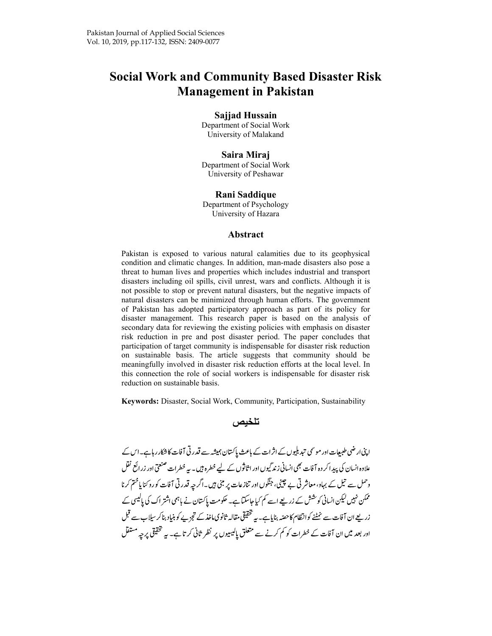# Social Work and Community Based Disaster Risk Management in Pakistan

#### Sajjad Hussain

Department of Social Work University of Malakand

#### Saira Miraj

Department of Social Work University of Peshawar

### Rani Saddique

Department of Psychology University of Hazara

#### Abstract

Pakistan is exposed to various natural calamities due to its geophysical condition and climatic changes. In addition, man-made disasters also pose a threat to human lives and properties which includes industrial and transport disasters including oil spills, civil unrest, wars and conflicts. Although it is not possible to stop or prevent natural disasters, but the negative impacts of natural disasters can be minimized through human efforts. The government of Pakistan has adopted participatory approach as part of its policy for disaster management. This research paper is based on the analysis of secondary data for reviewing the existing policies with emphasis on disaster risk reduction in pre and post disaster period. The paper concludes that participation of target community is indispensable for disaster risk reduction on sustainable basis. The article suggests that community should be meaningfully involved in disaster risk reduction efforts at the local level. In this connection the role of social workers is indispensable for disaster risk reduction on sustainable basis.

Keywords: Disaster, Social Work, Community, Participation, Sustainability



اپنی ارضی طبیعات اور موسمی تبدیلیوں کے اثرات کے باعث پاکستان ہمیشہ سے قدر تی آفات کا شکار رہاہے۔اس کے علاوہ انسان کی پیدا کر دہ آفات بھی انسانی زند گیوں اور اثاثوں کے لیے خطرہ ہیں۔ بیہ خطرات صنعتی اور زرائع نقل وحمل سے تیل کے بہاو، معاشر ٹی بے چینی، جنگوں اور تنازعات پر مبنی ہیں۔اگر جہ قدر ٹی آفات کورو کنا یاختم کرنا ممکن نہیں لیکن انسانی کوشش کے زریعے اسے کم کیا جاسکتا ہے۔ حکومت پاکستان نے ہاہمی اشتر اک کی پالیسی کے ۔<br>زریعے ان آفات سے نمٹنے کوانظام کاحصّہ بنایاہے۔ یہ تختیقی مقالہ ثانوی ماخذ کے تجزیے کو بنیاد بناکر سیااب سے قبل اور بعد میں ان آفات کے خطرات کو کم کرنے سے متعلق پالیسیوں پر نظر ثانی کر تاہے۔ یہ تحقیقی پر چہ مستقل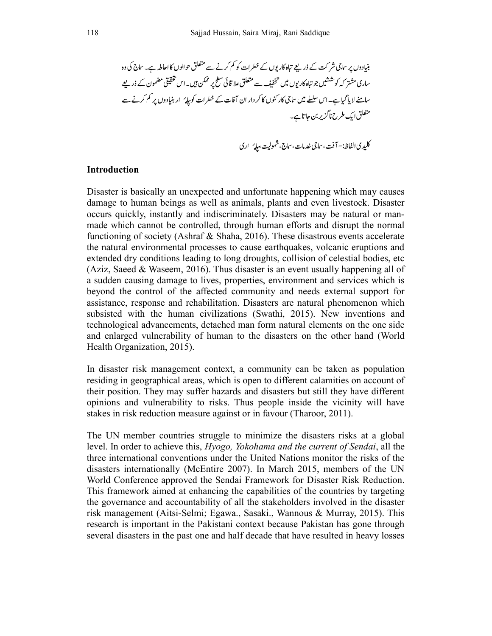#### **Introduction**

Disaster is basically an unexpected and unfortunate happening which may causes damage to human beings as well as animals, plants and even livestock. Disaster occurs quickly, instantly and indiscriminately. Disasters may be natural or manmade which cannot be controlled, through human efforts and disrupt the normal functioning of society (Ashraf & Shaha, 2016). These disastrous events accelerate the natural environmental processes to cause earthquakes, volcanic eruptions and extended dry conditions leading to long droughts, collision of celestial bodies, etc (Aziz, Saeed & Waseem, 2016). Thus disaster is an event usually happening all of a sudden causing damage to lives, properties, environment and services which is beyond the control of the affected community and needs external support for assistance, response and rehabilitation. Disasters are natural phenomenon which subsisted with the human civilizations (Swathi, 2015). New inventions and technological advancements, detached man form natural elements on the one side and enlarged vulnerability of human to the disasters on the other hand (World Health Organization, 2015).

In disaster risk management context, a community can be taken as population residing in geographical areas, which is open to different calamities on account of their position. They may suffer hazards and disasters but still they have different opinions and vulnerability to risks. Thus people inside the vicinity will have stakes in risk reduction measure against or in favour (Tharoor, 2011).

The UN member countries struggle to minimize the disasters risks at a global level. In order to achieve this, Hyogo, Yokohama and the current of Sendai, all the three international conventions under the United Nations monitor the risks of the disasters internationally (McEntire 2007). In March 2015, members of the UN World Conference approved the Sendai Framework for Disaster Risk Reduction. This framework aimed at enhancing the capabilities of the countries by targeting the governance and accountability of all the stakeholders involved in the disaster risk management (Aitsi-Selmi; Egawa., Sasaki., Wannous & Murray, 2015). This research is important in the Pakistani context because Pakistan has gone through several disasters in the past one and half decade that have resulted in heavy losses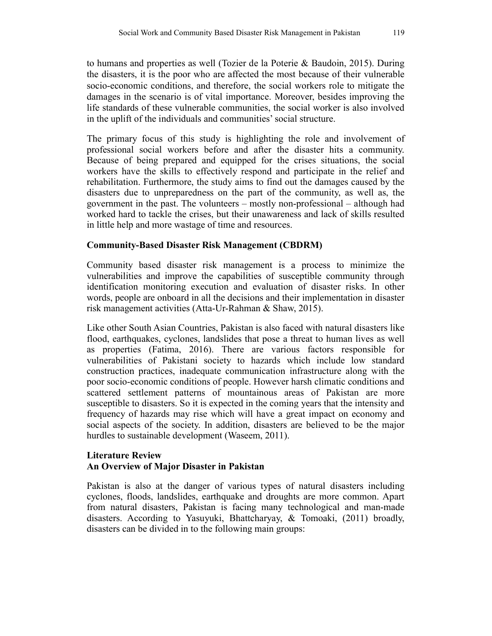to humans and properties as well (Tozier de la Poterie & Baudoin, 2015). During the disasters, it is the poor who are affected the most because of their vulnerable socio-economic conditions, and therefore, the social workers role to mitigate the damages in the scenario is of vital importance. Moreover, besides improving the life standards of these vulnerable communities, the social worker is also involved in the uplift of the individuals and communities' social structure.

The primary focus of this study is highlighting the role and involvement of professional social workers before and after the disaster hits a community. Because of being prepared and equipped for the crises situations, the social workers have the skills to effectively respond and participate in the relief and rehabilitation. Furthermore, the study aims to find out the damages caused by the disasters due to unpreparedness on the part of the community, as well as, the government in the past. The volunteers – mostly non-professional – although had worked hard to tackle the crises, but their unawareness and lack of skills resulted in little help and more wastage of time and resources.

# Community-Based Disaster Risk Management (CBDRM)

Community based disaster risk management is a process to minimize the vulnerabilities and improve the capabilities of susceptible community through identification monitoring execution and evaluation of disaster risks. In other words, people are onboard in all the decisions and their implementation in disaster risk management activities (Atta-Ur-Rahman & Shaw, 2015).

Like other South Asian Countries, Pakistan is also faced with natural disasters like flood, earthquakes, cyclones, landslides that pose a threat to human lives as well as properties (Fatima, 2016). There are various factors responsible for vulnerabilities of Pakistani society to hazards which include low standard construction practices, inadequate communication infrastructure along with the poor socio-economic conditions of people. However harsh climatic conditions and scattered settlement patterns of mountainous areas of Pakistan are more susceptible to disasters. So it is expected in the coming years that the intensity and frequency of hazards may rise which will have a great impact on economy and social aspects of the society. In addition, disasters are believed to be the major hurdles to sustainable development (Waseem, 2011).

# Literature Review An Overview of Major Disaster in Pakistan

Pakistan is also at the danger of various types of natural disasters including cyclones, floods, landslides, earthquake and droughts are more common. Apart from natural disasters, Pakistan is facing many technological and man-made disasters. According to Yasuyuki, Bhattcharyay, & Tomoaki, (2011) broadly, disasters can be divided in to the following main groups: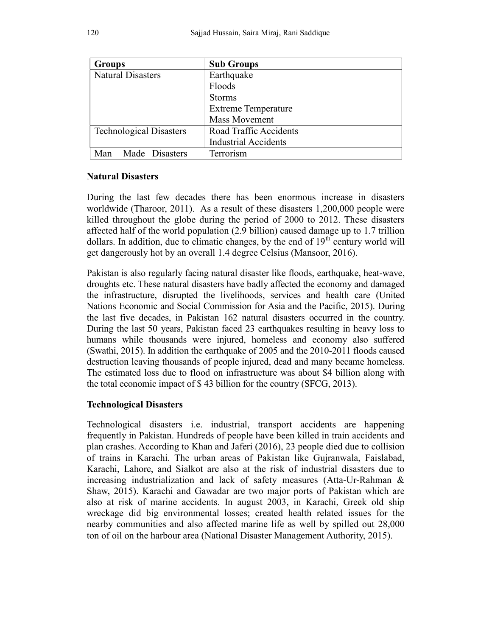| <b>Groups</b>                  | <b>Sub Groups</b>           |
|--------------------------------|-----------------------------|
| <b>Natural Disasters</b>       | Earthquake                  |
|                                | Floods                      |
|                                | <b>Storms</b>               |
|                                | <b>Extreme Temperature</b>  |
|                                | <b>Mass Movement</b>        |
| <b>Technological Disasters</b> | Road Traffic Accidents      |
|                                | <b>Industrial Accidents</b> |
| Made Disasters<br>Man          | Terrorism                   |

# Natural Disasters

During the last few decades there has been enormous increase in disasters worldwide (Tharoor, 2011). As a result of these disasters 1,200,000 people were killed throughout the globe during the period of 2000 to 2012. These disasters affected half of the world population (2.9 billion) caused damage up to 1.7 trillion dollars. In addition, due to climatic changes, by the end of  $19<sup>th</sup>$  century world will get dangerously hot by an overall 1.4 degree Celsius (Mansoor, 2016).

Pakistan is also regularly facing natural disaster like floods, earthquake, heat-wave, droughts etc. These natural disasters have badly affected the economy and damaged the infrastructure, disrupted the livelihoods, services and health care (United Nations Economic and Social Commission for Asia and the Pacific, 2015). During the last five decades, in Pakistan 162 natural disasters occurred in the country. During the last 50 years, Pakistan faced 23 earthquakes resulting in heavy loss to humans while thousands were injured, homeless and economy also suffered (Swathi, 2015). In addition the earthquake of 2005 and the 2010-2011 floods caused destruction leaving thousands of people injured, dead and many became homeless. The estimated loss due to flood on infrastructure was about \$4 billion along with the total economic impact of \$ 43 billion for the country (SFCG, 2013).

# Technological Disasters

Technological disasters i.e. industrial, transport accidents are happening frequently in Pakistan. Hundreds of people have been killed in train accidents and plan crashes. According to Khan and Jaferi (2016), 23 people died due to collision of trains in Karachi. The urban areas of Pakistan like Gujranwala, Faislabad, Karachi, Lahore, and Sialkot are also at the risk of industrial disasters due to increasing industrialization and lack of safety measures (Atta-Ur-Rahman & Shaw, 2015). Karachi and Gawadar are two major ports of Pakistan which are also at risk of marine accidents. In august 2003, in Karachi, Greek old ship wreckage did big environmental losses; created health related issues for the nearby communities and also affected marine life as well by spilled out 28,000 ton of oil on the harbour area (National Disaster Management Authority, 2015).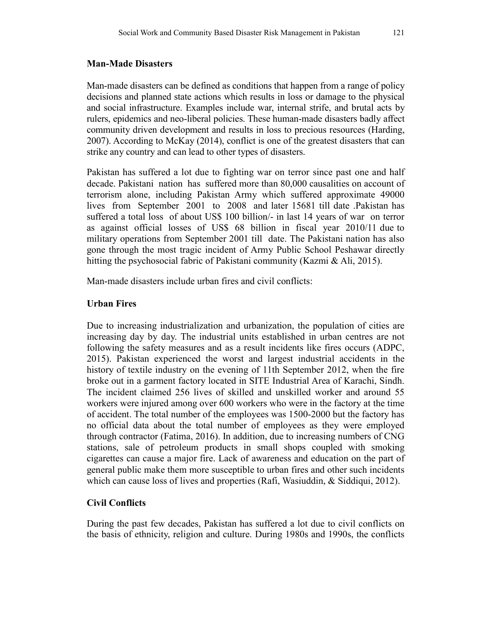### Man-Made Disasters

Man-made disasters can be defined as conditions that happen from a range of policy decisions and planned state actions which results in loss or damage to the physical and social infrastructure. Examples include war, internal strife, and brutal acts by rulers, epidemics and neo-liberal policies. These human-made disasters badly affect community driven development and results in loss to precious resources (Harding, 2007). According to McKay (2014), conflict is one of the greatest disasters that can strike any country and can lead to other types of disasters.

Pakistan has suffered a lot due to fighting war on terror since past one and half decade. Pakistani nation has suffered more than 80,000 causalities on account of terrorism alone, including Pakistan Army which suffered approximate 49000 lives from September 2001 to 2008 and later 15681 till date .Pakistan has suffered a total loss of about US\$ 100 billion/- in last 14 years of war on terror as against official losses of US\$ 68 billion in fiscal year 2010/11 due to military operations from September 2001 till date. The Pakistani nation has also gone through the most tragic incident of Army Public School Peshawar directly hitting the psychosocial fabric of Pakistani community (Kazmi & Ali, 2015).

Man-made disasters include urban fires and civil conflicts:

# Urban Fires

Due to increasing industrialization and urbanization, the population of cities are increasing day by day. The industrial units established in urban centres are not following the safety measures and as a result incidents like fires occurs (ADPC, 2015). Pakistan experienced the worst and largest industrial accidents in the history of textile industry on the evening of 11th September 2012, when the fire broke out in a garment factory located in SITE Industrial Area of Karachi, Sindh. The incident claimed 256 lives of skilled and unskilled worker and around 55 workers were injured among over 600 workers who were in the factory at the time of accident. The total number of the employees was 1500-2000 but the factory has no official data about the total number of employees as they were employed through contractor (Fatima, 2016). In addition, due to increasing numbers of CNG stations, sale of petroleum products in small shops coupled with smoking cigarettes can cause a major fire. Lack of awareness and education on the part of general public make them more susceptible to urban fires and other such incidents which can cause loss of lives and properties (Rafi, Wasiuddin, & Siddiqui, 2012).

# Civil Conflicts

During the past few decades, Pakistan has suffered a lot due to civil conflicts on the basis of ethnicity, religion and culture. During 1980s and 1990s, the conflicts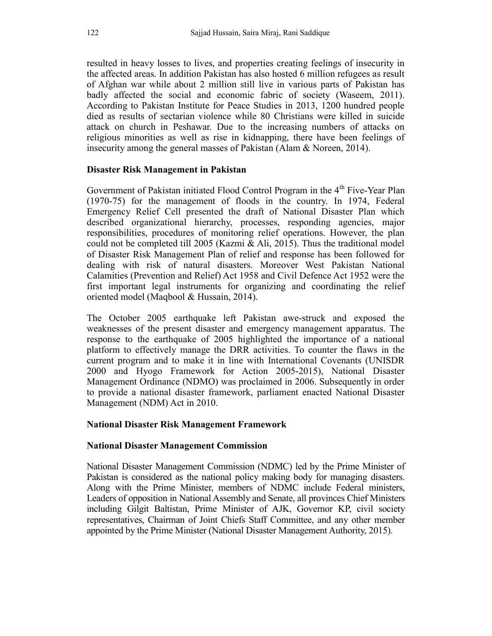resulted in heavy losses to lives, and properties creating feelings of insecurity in the affected areas. In addition Pakistan has also hosted 6 million refugees as result of Afghan war while about 2 million still live in various parts of Pakistan has badly affected the social and economic fabric of society (Waseem, 2011). According to Pakistan Institute for Peace Studies in 2013, 1200 hundred people died as results of sectarian violence while 80 Christians were killed in suicide attack on church in Peshawar. Due to the increasing numbers of attacks on religious minorities as well as rise in kidnapping, there have been feelings of insecurity among the general masses of Pakistan (Alam & Noreen, 2014).

### Disaster Risk Management in Pakistan

Government of Pakistan initiated Flood Control Program in the 4<sup>th</sup> Five-Year Plan (1970-75) for the management of floods in the country. In 1974, Federal Emergency Relief Cell presented the draft of National Disaster Plan which described organizational hierarchy, processes, responding agencies, major responsibilities, procedures of monitoring relief operations. However, the plan could not be completed till 2005 (Kazmi & Ali, 2015). Thus the traditional model of Disaster Risk Management Plan of relief and response has been followed for dealing with risk of natural disasters. Moreover West Pakistan National Calamities (Prevention and Relief) Act 1958 and Civil Defence Act 1952 were the first important legal instruments for organizing and coordinating the relief oriented model (Maqbool & Hussain, 2014).

The October 2005 earthquake left Pakistan awe-struck and exposed the weaknesses of the present disaster and emergency management apparatus. The response to the earthquake of 2005 highlighted the importance of a national platform to effectively manage the DRR activities. To counter the flaws in the current program and to make it in line with International Covenants (UNISDR 2000 and Hyogo Framework for Action 2005-2015), National Disaster Management Ordinance (NDMO) was proclaimed in 2006. Subsequently in order to provide a national disaster framework, parliament enacted National Disaster Management (NDM) Act in 2010.

### National Disaster Risk Management Framework

#### National Disaster Management Commission

National Disaster Management Commission (NDMC) led by the Prime Minister of Pakistan is considered as the national policy making body for managing disasters. Along with the Prime Minister, members of NDMC include Federal ministers, Leaders of opposition in National Assembly and Senate, all provinces Chief Ministers including Gilgit Baltistan, Prime Minister of AJK, Governor KP, civil society representatives, Chairman of Joint Chiefs Staff Committee, and any other member appointed by the Prime Minister (National Disaster Management Authority, 2015).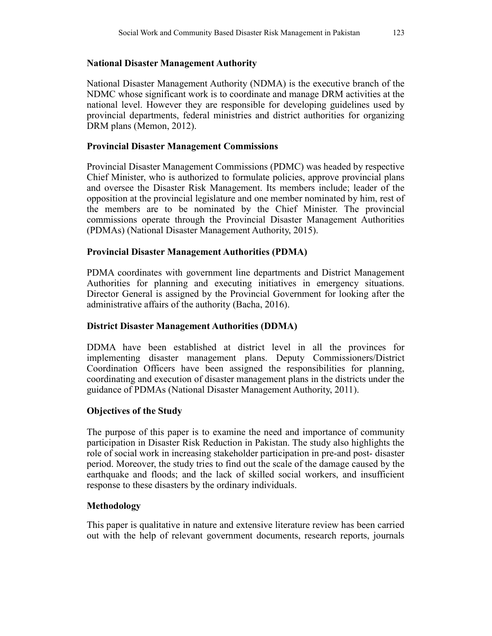# National Disaster Management Authority

National Disaster Management Authority (NDMA) is the executive branch of the NDMC whose significant work is to coordinate and manage DRM activities at the national level. However they are responsible for developing guidelines used by provincial departments, federal ministries and district authorities for organizing DRM plans (Memon, 2012).

# Provincial Disaster Management Commissions

Provincial Disaster Management Commissions (PDMC) was headed by respective Chief Minister, who is authorized to formulate policies, approve provincial plans and oversee the Disaster Risk Management. Its members include; leader of the opposition at the provincial legislature and one member nominated by him, rest of the members are to be nominated by the Chief Minister. The provincial commissions operate through the Provincial Disaster Management Authorities (PDMAs) (National Disaster Management Authority, 2015).

# Provincial Disaster Management Authorities (PDMA)

PDMA coordinates with government line departments and District Management Authorities for planning and executing initiatives in emergency situations. Director General is assigned by the Provincial Government for looking after the administrative affairs of the authority (Bacha, 2016).

# District Disaster Management Authorities (DDMA)

DDMA have been established at district level in all the provinces for implementing disaster management plans. Deputy Commissioners/District Coordination Officers have been assigned the responsibilities for planning, coordinating and execution of disaster management plans in the districts under the guidance of PDMAs (National Disaster Management Authority, 2011).

# Objectives of the Study

The purpose of this paper is to examine the need and importance of community participation in Disaster Risk Reduction in Pakistan. The study also highlights the role of social work in increasing stakeholder participation in pre-and post- disaster period. Moreover, the study tries to find out the scale of the damage caused by the earthquake and floods; and the lack of skilled social workers, and insufficient response to these disasters by the ordinary individuals.

# Methodology

This paper is qualitative in nature and extensive literature review has been carried out with the help of relevant government documents, research reports, journals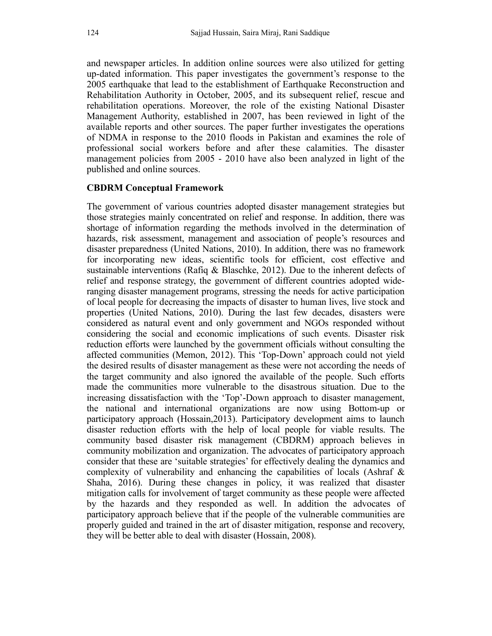and newspaper articles. In addition online sources were also utilized for getting up-dated information. This paper investigates the government's response to the 2005 earthquake that lead to the establishment of Earthquake Reconstruction and Rehabilitation Authority in October, 2005, and its subsequent relief, rescue and rehabilitation operations. Moreover, the role of the existing National Disaster Management Authority, established in 2007, has been reviewed in light of the available reports and other sources. The paper further investigates the operations of NDMA in response to the 2010 floods in Pakistan and examines the role of professional social workers before and after these calamities. The disaster management policies from 2005 - 2010 have also been analyzed in light of the published and online sources.

### CBDRM Conceptual Framework

The government of various countries adopted disaster management strategies but those strategies mainly concentrated on relief and response. In addition, there was shortage of information regarding the methods involved in the determination of hazards, risk assessment, management and association of people's resources and disaster preparedness (United Nations, 2010). In addition, there was no framework for incorporating new ideas, scientific tools for efficient, cost effective and sustainable interventions (Rafiq & Blaschke, 2012). Due to the inherent defects of relief and response strategy, the government of different countries adopted wideranging disaster management programs, stressing the needs for active participation of local people for decreasing the impacts of disaster to human lives, live stock and properties (United Nations, 2010). During the last few decades, disasters were considered as natural event and only government and NGOs responded without considering the social and economic implications of such events. Disaster risk reduction efforts were launched by the government officials without consulting the affected communities (Memon, 2012). This 'Top-Down' approach could not yield the desired results of disaster management as these were not according the needs of the target community and also ignored the available of the people. Such efforts made the communities more vulnerable to the disastrous situation. Due to the increasing dissatisfaction with the 'Top'-Down approach to disaster management, the national and international organizations are now using Bottom-up or participatory approach (Hossain,2013). Participatory development aims to launch disaster reduction efforts with the help of local people for viable results. The community based disaster risk management (CBDRM) approach believes in community mobilization and organization. The advocates of participatory approach consider that these are 'suitable strategies' for effectively dealing the dynamics and complexity of vulnerability and enhancing the capabilities of locals (Ashraf & Shaha, 2016). During these changes in policy, it was realized that disaster mitigation calls for involvement of target community as these people were affected by the hazards and they responded as well. In addition the advocates of participatory approach believe that if the people of the vulnerable communities are properly guided and trained in the art of disaster mitigation, response and recovery, they will be better able to deal with disaster (Hossain, 2008).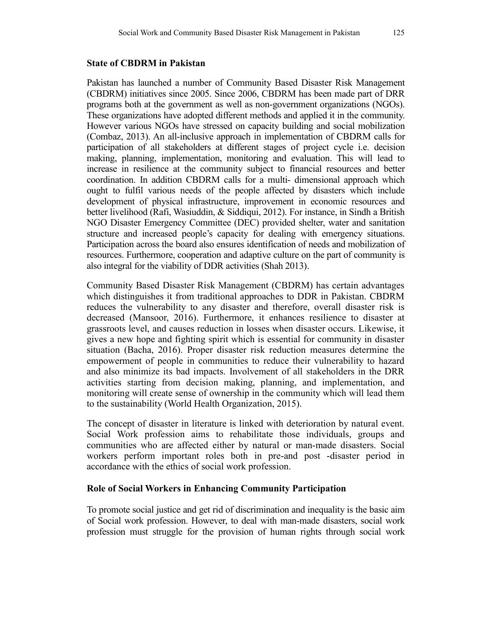### State of CBDRM in Pakistan

Pakistan has launched a number of Community Based Disaster Risk Management (CBDRM) initiatives since 2005. Since 2006, CBDRM has been made part of DRR programs both at the government as well as non-government organizations (NGOs). These organizations have adopted different methods and applied it in the community. However various NGOs have stressed on capacity building and social mobilization (Combaz, 2013). An all-inclusive approach in implementation of CBDRM calls for participation of all stakeholders at different stages of project cycle i.e. decision making, planning, implementation, monitoring and evaluation. This will lead to increase in resilience at the community subject to financial resources and better coordination. In addition CBDRM calls for a multi- dimensional approach which ought to fulfil various needs of the people affected by disasters which include development of physical infrastructure, improvement in economic resources and better livelihood (Rafi, Wasiuddin, & Siddiqui, 2012). For instance, in Sindh a British NGO Disaster Emergency Committee (DEC) provided shelter, water and sanitation structure and increased people's capacity for dealing with emergency situations. Participation across the board also ensures identification of needs and mobilization of resources. Furthermore, cooperation and adaptive culture on the part of community is also integral for the viability of DDR activities (Shah 2013).

Community Based Disaster Risk Management (CBDRM) has certain advantages which distinguishes it from traditional approaches to DDR in Pakistan. CBDRM reduces the vulnerability to any disaster and therefore, overall disaster risk is decreased (Mansoor, 2016). Furthermore, it enhances resilience to disaster at grassroots level, and causes reduction in losses when disaster occurs. Likewise, it gives a new hope and fighting spirit which is essential for community in disaster situation (Bacha, 2016). Proper disaster risk reduction measures determine the empowerment of people in communities to reduce their vulnerability to hazard and also minimize its bad impacts. Involvement of all stakeholders in the DRR activities starting from decision making, planning, and implementation, and monitoring will create sense of ownership in the community which will lead them to the sustainability (World Health Organization, 2015).

The concept of disaster in literature is linked with deterioration by natural event. Social Work profession aims to rehabilitate those individuals, groups and communities who are affected either by natural or man-made disasters. Social workers perform important roles both in pre-and post -disaster period in accordance with the ethics of social work profession.

### Role of Social Workers in Enhancing Community Participation

To promote social justice and get rid of discrimination and inequality is the basic aim of Social work profession. However, to deal with man-made disasters, social work profession must struggle for the provision of human rights through social work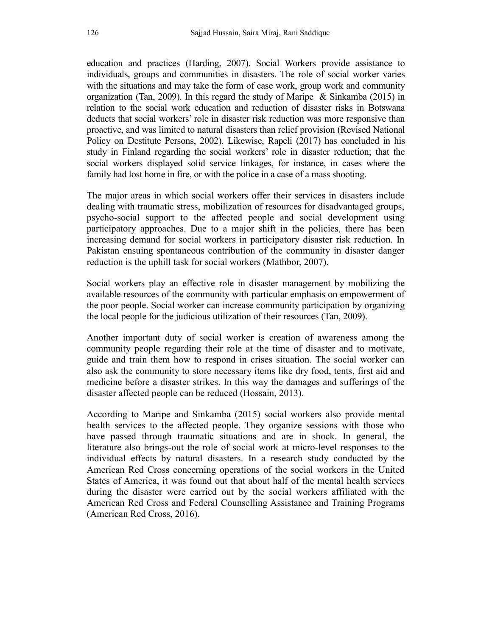education and practices (Harding, 2007). Social Workers provide assistance to individuals, groups and communities in disasters. The role of social worker varies with the situations and may take the form of case work, group work and community organization (Tan, 2009). In this regard the study of Maripe & Sinkamba (2015) in relation to the social work education and reduction of disaster risks in Botswana deducts that social workers' role in disaster risk reduction was more responsive than proactive, and was limited to natural disasters than relief provision (Revised National Policy on Destitute Persons, 2002). Likewise, Rapeli (2017) has concluded in his study in Finland regarding the social workers' role in disaster reduction; that the social workers displayed solid service linkages, for instance, in cases where the family had lost home in fire, or with the police in a case of a mass shooting.

The major areas in which social workers offer their services in disasters include dealing with traumatic stress, mobilization of resources for disadvantaged groups, psycho-social support to the affected people and social development using participatory approaches. Due to a major shift in the policies, there has been increasing demand for social workers in participatory disaster risk reduction. In Pakistan ensuing spontaneous contribution of the community in disaster danger reduction is the uphill task for social workers (Mathbor, 2007).

Social workers play an effective role in disaster management by mobilizing the available resources of the community with particular emphasis on empowerment of the poor people. Social worker can increase community participation by organizing the local people for the judicious utilization of their resources (Tan, 2009).

Another important duty of social worker is creation of awareness among the community people regarding their role at the time of disaster and to motivate, guide and train them how to respond in crises situation. The social worker can also ask the community to store necessary items like dry food, tents, first aid and medicine before a disaster strikes. In this way the damages and sufferings of the disaster affected people can be reduced (Hossain, 2013).

According to Maripe and Sinkamba (2015) social workers also provide mental health services to the affected people. They organize sessions with those who have passed through traumatic situations and are in shock. In general, the literature also brings-out the role of social work at micro-level responses to the individual effects by natural disasters. In a research study conducted by the American Red Cross concerning operations of the social workers in the United States of America, it was found out that about half of the mental health services during the disaster were carried out by the social workers affiliated with the American Red Cross and Federal Counselling Assistance and Training Programs (American Red Cross, 2016).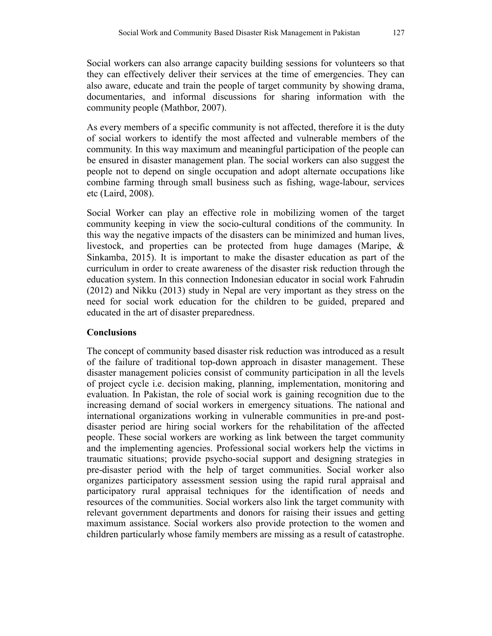Social workers can also arrange capacity building sessions for volunteers so that they can effectively deliver their services at the time of emergencies. They can also aware, educate and train the people of target community by showing drama, documentaries, and informal discussions for sharing information with the community people (Mathbor, 2007).

As every members of a specific community is not affected, therefore it is the duty of social workers to identify the most affected and vulnerable members of the community. In this way maximum and meaningful participation of the people can be ensured in disaster management plan. The social workers can also suggest the people not to depend on single occupation and adopt alternate occupations like combine farming through small business such as fishing, wage-labour, services etc (Laird, 2008).

Social Worker can play an effective role in mobilizing women of the target community keeping in view the socio-cultural conditions of the community. In this way the negative impacts of the disasters can be minimized and human lives, livestock, and properties can be protected from huge damages (Maripe, & Sinkamba, 2015). It is important to make the disaster education as part of the curriculum in order to create awareness of the disaster risk reduction through the education system. In this connection Indonesian educator in social work Fahrudin (2012) and Nikku (2013) study in Nepal are very important as they stress on the need for social work education for the children to be guided, prepared and educated in the art of disaster preparedness.

### **Conclusions**

The concept of community based disaster risk reduction was introduced as a result of the failure of traditional top-down approach in disaster management. These disaster management policies consist of community participation in all the levels of project cycle i.e. decision making, planning, implementation, monitoring and evaluation. In Pakistan, the role of social work is gaining recognition due to the increasing demand of social workers in emergency situations. The national and international organizations working in vulnerable communities in pre-and postdisaster period are hiring social workers for the rehabilitation of the affected people. These social workers are working as link between the target community and the implementing agencies. Professional social workers help the victims in traumatic situations; provide psycho-social support and designing strategies in pre-disaster period with the help of target communities. Social worker also organizes participatory assessment session using the rapid rural appraisal and participatory rural appraisal techniques for the identification of needs and resources of the communities. Social workers also link the target community with relevant government departments and donors for raising their issues and getting maximum assistance. Social workers also provide protection to the women and children particularly whose family members are missing as a result of catastrophe.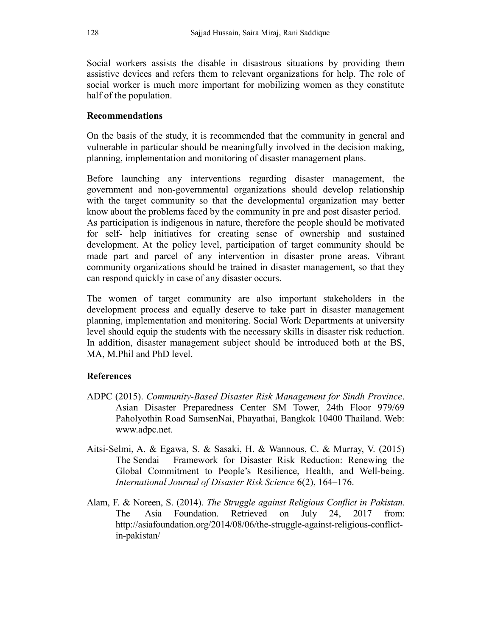Social workers assists the disable in disastrous situations by providing them assistive devices and refers them to relevant organizations for help. The role of social worker is much more important for mobilizing women as they constitute half of the population.

### Recommendations

On the basis of the study, it is recommended that the community in general and vulnerable in particular should be meaningfully involved in the decision making, planning, implementation and monitoring of disaster management plans.

Before launching any interventions regarding disaster management, the government and non-governmental organizations should develop relationship with the target community so that the developmental organization may better know about the problems faced by the community in pre and post disaster period. As participation is indigenous in nature, therefore the people should be motivated for self- help initiatives for creating sense of ownership and sustained development. At the policy level, participation of target community should be made part and parcel of any intervention in disaster prone areas. Vibrant community organizations should be trained in disaster management, so that they can respond quickly in case of any disaster occurs.

The women of target community are also important stakeholders in the development process and equally deserve to take part in disaster management planning, implementation and monitoring. Social Work Departments at university level should equip the students with the necessary skills in disaster risk reduction. In addition, disaster management subject should be introduced both at the BS, MA, M.Phil and PhD level.

### References

- ADPC (2015). Community-Based Disaster Risk Management for Sindh Province. Asian Disaster Preparedness Center SM Tower, 24th Floor 979/69 Paholyothin Road SamsenNai, Phayathai, Bangkok 10400 Thailand. Web: www.adpc.net.
- Aitsi-Selmi, A. & Egawa, S. & Sasaki, H. & Wannous, C. & Murray, V. (2015) The Sendai Framework for Disaster Risk Reduction: Renewing the Global Commitment to People's Resilience, Health, and Well-being. International Journal of Disaster Risk Science 6(2), 164–176.
- Alam, F. & Noreen, S. (2014). The Struggle against Religious Conflict in Pakistan. The Asia Foundation. Retrieved on July 24, 2017 from: http://asiafoundation.org/2014/08/06/the-struggle-against-religious-conflictin-pakistan/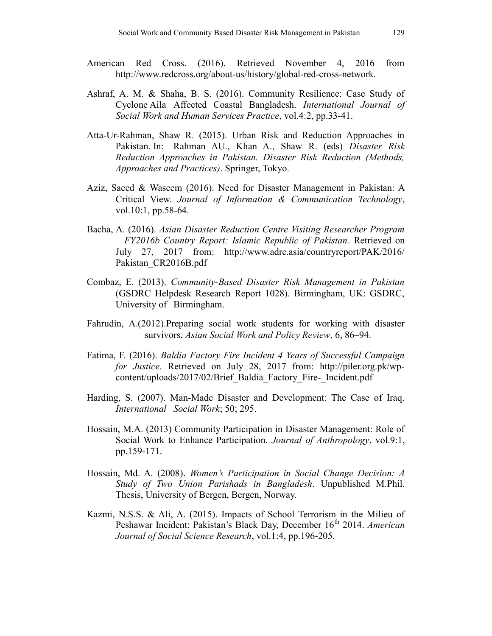- American Red Cross. (2016). Retrieved November 4, 2016 from http://www.redcross.org/about-us/history/global-red-cross-network.
- Ashraf, A. M. & Shaha, B. S. (2016). Community Resilience: Case Study of Cyclone Aila Affected Coastal Bangladesh. International Journal of Social Work and Human Services Practice, vol.4:2, pp.33-41.
- Atta-Ur-Rahman, Shaw R. (2015). Urban Risk and Reduction Approaches in Pakistan. In: Rahman AU., Khan A., Shaw R. (eds) Disaster Risk Reduction Approaches in Pakistan. Disaster Risk Reduction (Methods, Approaches and Practices). Springer, Tokyo.
- Aziz, Saeed & Waseem (2016). Need for Disaster Management in Pakistan: A Critical View. Journal of Information & Communication Technology, vol.10:1, pp.58-64.
- Bacha, A. (2016). Asian Disaster Reduction Centre Visiting Researcher Program – FY2016b Country Report: Islamic Republic of Pakistan. Retrieved on July 27, 2017 from: http://www.adrc.asia/countryreport/PAK/2016/ Pakistan\_CR2016B.pdf
- Combaz, E. (2013). Community-Based Disaster Risk Management in Pakistan (GSDRC Helpdesk Research Report 1028). Birmingham, UK: GSDRC, University of Birmingham.
- Fahrudin, A.(2012).Preparing social work students for working with disaster survivors. Asian Social Work and Policy Review, 6, 86–94.
- Fatima, F. (2016). Baldia Factory Fire Incident 4 Years of Successful Campaign for Justice. Retrieved on July 28, 2017 from: http://piler.org.pk/wpcontent/uploads/2017/02/Brief\_Baldia\_Factory\_Fire-\_Incident.pdf
- Harding, S. (2007). Man-Made Disaster and Development: The Case of Iraq. International Social Work; 50; 295.
- Hossain, M.A. (2013) Community Participation in Disaster Management: Role of Social Work to Enhance Participation. Journal of Anthropology, vol.9:1, pp.159-171.
- Hossain, Md. A. (2008). Women's Participation in Social Change Decision: A Study of Two Union Parishads in Bangladesh. Unpublished M.Phil. Thesis, University of Bergen, Bergen, Norway.
- Kazmi, N.S.S. & Ali, A. (2015). Impacts of School Terrorism in the Milieu of Peshawar Incident; Pakistan's Black Day, December 16<sup>th</sup> 2014. American Journal of Social Science Research, vol.1:4, pp.196-205.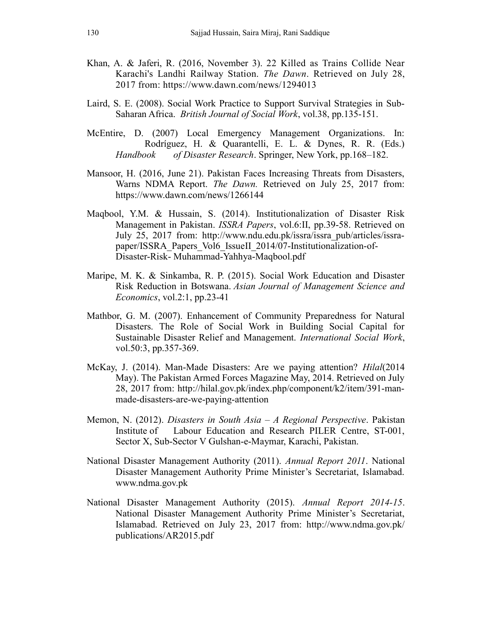- Khan, A. & Jaferi, R. (2016, November 3). 22 Killed as Trains Collide Near Karachi's Landhi Railway Station. The Dawn. Retrieved on July 28, 2017 from: https://www.dawn.com/news/1294013
- Laird, S. E. (2008). Social Work Practice to Support Survival Strategies in Sub-Saharan Africa. British Journal of Social Work, vol.38, pp.135-151.
- McEntire, D. (2007) Local Emergency Management Organizations. In: Rodríguez, H. & Quarantelli, E. L. & Dynes, R. R. (Eds.) Handbook of Disaster Research. Springer, New York, pp.168–182.
- Mansoor, H. (2016, June 21). Pakistan Faces Increasing Threats from Disasters, Warns NDMA Report. The Dawn. Retrieved on July 25, 2017 from: https://www.dawn.com/news/1266144
- Maqbool, Y.M. & Hussain, S. (2014). Institutionalization of Disaster Risk Management in Pakistan. ISSRA Papers, vol.6:II, pp.39-58. Retrieved on July 25, 2017 from: http://www.ndu.edu.pk/issra/issra\_pub/articles/issrapaper/ISSRA\_Papers\_Vol6\_IssueII\_2014/07-Institutionalization-of-Disaster-Risk- Muhammad-Yahhya-Maqbool.pdf
- Maripe, M. K. & Sinkamba, R. P. (2015). Social Work Education and Disaster Risk Reduction in Botswana. Asian Journal of Management Science and Economics, vol.2:1, pp.23-41
- Mathbor, G. M. (2007). Enhancement of Community Preparedness for Natural Disasters. The Role of Social Work in Building Social Capital for Sustainable Disaster Relief and Management. International Social Work, vol.50:3, pp.357-369.
- McKay, J. (2014). Man-Made Disasters: Are we paying attention? Hilal(2014 May). The Pakistan Armed Forces Magazine May, 2014. Retrieved on July 28, 2017 from: http://hilal.gov.pk/index.php/component/k2/item/391-manmade-disasters-are-we-paying-attention
- Memon, N. (2012). Disasters in South Asia A Regional Perspective. Pakistan Institute of Labour Education and Research PILER Centre, ST-001, Sector X, Sub-Sector V Gulshan-e-Maymar, Karachi, Pakistan.
- National Disaster Management Authority (2011). Annual Report 2011. National Disaster Management Authority Prime Minister's Secretariat, Islamabad. www.ndma.gov.pk
- National Disaster Management Authority (2015). Annual Report 2014-15. National Disaster Management Authority Prime Minister's Secretariat, Islamabad. Retrieved on July 23, 2017 from: http://www.ndma.gov.pk/ publications/AR2015.pdf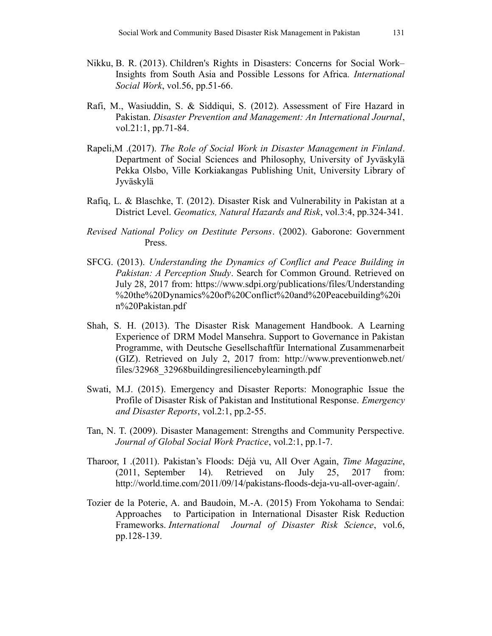- Nikku, B. R. (2013). Children's Rights in Disasters: Concerns for Social Work– Insights from South Asia and Possible Lessons for Africa. International Social Work, vol.56, pp.51-66.
- Rafi, M., Wasiuddin, S. & Siddiqui, S. (2012). Assessment of Fire Hazard in Pakistan. Disaster Prevention and Management: An International Journal, vol.21:1, pp.71-84.
- Rapeli,M .(2017). The Role of Social Work in Disaster Management in Finland. Department of Social Sciences and Philosophy, University of Jyväskylä Pekka Olsbo, Ville Korkiakangas Publishing Unit, University Library of Jyväskylä
- Rafiq, L. & Blaschke, T. (2012). Disaster Risk and Vulnerability in Pakistan at a District Level. Geomatics, Natural Hazards and Risk, vol.3:4, pp.324-341.
- Revised National Policy on Destitute Persons. (2002). Gaborone: Government Press.
- SFCG. (2013). Understanding the Dynamics of Conflict and Peace Building in Pakistan: A Perception Study. Search for Common Ground. Retrieved on July 28, 2017 from: https://www.sdpi.org/publications/files/Understanding %20the%20Dynamics%20of%20Conflict%20and%20Peacebuilding%20i n%20Pakistan.pdf
- Shah, S. H. (2013). The Disaster Risk Management Handbook. A Learning Experience of DRM Model Mansehra. Support to Governance in Pakistan Programme, with Deutsche Gesellschaftfür International Zusammenarbeit (GIZ). Retrieved on July 2, 2017 from: http://www.preventionweb.net/ files/32968 32968buildingresiliencebylearningth.pdf
- Swati, M.J. (2015). Emergency and Disaster Reports: Monographic Issue the Profile of Disaster Risk of Pakistan and Institutional Response. Emergency and Disaster Reports, vol.2:1, pp.2-55.
- Tan, N. T. (2009). Disaster Management: Strengths and Community Perspective. Journal of Global Social Work Practice, vol.2:1, pp.1-7.
- Tharoor, I .(2011). Pakistan's Floods: Déjà vu, All Over Again, Time Magazine, (2011, September 14). Retrieved on July 25, 2017 from: http://world.time.com/2011/09/14/pakistans-floods-deja-vu-all-over-again/.
- Tozier de la Poterie, A. and Baudoin, M.-A. (2015) From Yokohama to Sendai: Approaches to Participation in International Disaster Risk Reduction Frameworks. International Journal of Disaster Risk Science, vol.6, pp.128-139.